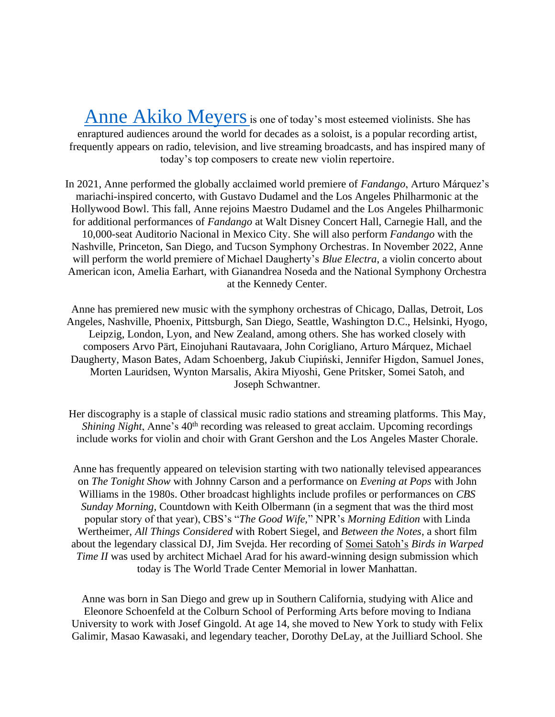[Anne Akiko Meyers](https://anneakikomeyers.com/) is one of today's most esteemed violinists. She has enraptured audiences around the world for decades as a soloist, is a popular recording artist, frequently appears on radio, television, and live streaming broadcasts, and has inspired many of today's top composers to create new violin repertoire.

In 2021, Anne performed the globally acclaimed world premiere of *Fandango*, Arturo Márquez's mariachi-inspired concerto, with Gustavo Dudamel and the Los Angeles Philharmonic at the Hollywood Bowl. This fall, Anne rejoins Maestro Dudamel and the Los Angeles Philharmonic for additional performances of *Fandango* at Walt Disney Concert Hall, Carnegie Hall, and the 10,000-seat Auditorio Nacional in Mexico City. She will also perform *Fandango* with the Nashville, Princeton, San Diego, and Tucson Symphony Orchestras. In November 2022, Anne will perform the world premiere of Michael Daugherty's *Blue Electra*, a violin concerto about American icon, Amelia Earhart, with Gianandrea Noseda and the National Symphony Orchestra at the Kennedy Center.

Anne has premiered new music with the symphony orchestras of Chicago, Dallas, Detroit, Los Angeles, Nashville, Phoenix, Pittsburgh, San Diego, Seattle, Washington D.C., Helsinki, Hyogo, Leipzig, London, Lyon, and New Zealand, among others. She has worked closely with composers Arvo Pärt, Einojuhani Rautavaara, John Corigliano, Arturo Márquez, Michael Daugherty, Mason Bates, Adam Schoenberg, Jakub Ciupiński, Jennifer Higdon, Samuel Jones, Morten Lauridsen, Wynton Marsalis, Akira Miyoshi, Gene Pritsker, Somei Satoh, and Joseph Schwantner.

Her discography is a staple of classical music radio stations and streaming platforms. This May, *Shining Night*, Anne's 40<sup>th</sup> recording was released to great acclaim. Upcoming recordings include works for violin and choir with Grant Gershon and the Los Angeles Master Chorale.

Anne has frequently appeared on television starting with two nationally televised appearances on *The Tonight Show* with Johnny Carson and a performance on *Evening at Pops* with John Williams in the 1980s. Other broadcast highlights include profiles or performances on *[CBS](https://www.youtube.com/watch?v=GxxKF2ODh98)  [Sunday Morning,](https://www.youtube.com/watch?v=GxxKF2ODh98)* Countdown with Keith Olbermann (in a segment that was the third most popular story of that year), CBS's "*The Good Wife,*" NPR's *[Morning Edition](http://www.npr.org/sections/deceptivecadence/2014/03/07/286262067/the-soul-of-the-worlds-most-expensive-violin)* with Linda Wertheimer, *[All Things Considered](http://www.npr.org/sections/deceptivecadence/2012/02/06/146465231/violinist-anne-akiko-meyers-from-playing-in-knee-socks-to-owning-two-strads)* with Robert Siegel, and *Between the Notes*, a short film about the legendary classical DJ, Jim Svejda. Her recording of Somei Satoh's *[Birds in Warped](https://www.youtube.com/watch?v=Qo3qgLRqbqg)  [Time II](https://www.youtube.com/watch?v=Qo3qgLRqbqg)* was used by architect Michael Arad for his award-winning design submission which today is The World Trade Center Memorial in lower Manhattan.

Anne was born in San Diego and grew up in Southern California, studying with Alice and Eleonore Schoenfeld at the Colburn School of Performing Arts before moving to Indiana University to work with Josef Gingold. At age 14, she moved to New York to study with Felix Galimir, Masao Kawasaki, and legendary teacher, Dorothy DeLay, at the Juilliard School. She